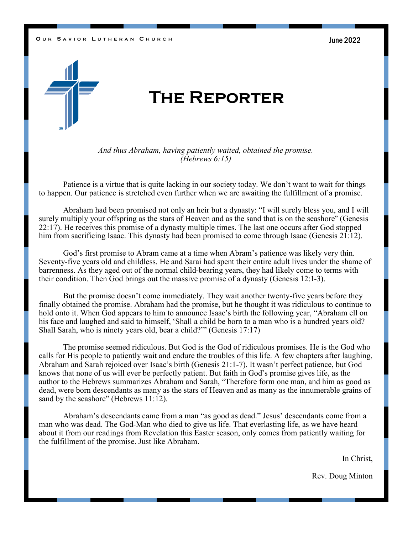#### **O** UR SAVIOR LUTHERAN CHURCH **CHOOSE COMPUTER** 2022



# **The Reporter**

*And thus Abraham, having patiently waited, obtained the promise. (Hebrews 6:15)*

Patience is a virtue that is quite lacking in our society today. We don't want to wait for things to happen. Our patience is stretched even further when we are awaiting the fulfillment of a promise.

Abraham had been promised not only an heir but a dynasty: "I will surely bless you, and I will surely multiply your offspring as the stars of Heaven and as the sand that is on the seashore" (Genesis 22:17). He receives this promise of a dynasty multiple times. The last one occurs after God stopped him from sacrificing Isaac. This dynasty had been promised to come through Isaac (Genesis 21:12).

God's first promise to Abram came at a time when Abram's patience was likely very thin. Seventy-five years old and childless. He and Sarai had spent their entire adult lives under the shame of barrenness. As they aged out of the normal child-bearing years, they had likely come to terms with their condition. Then God brings out the massive promise of a dynasty (Genesis 12:1-3).

But the promise doesn't come immediately. They wait another twenty-five years before they finally obtained the promise. Abraham had the promise, but he thought it was ridiculous to continue to hold onto it. When God appears to him to announce Isaac's birth the following year, "Abraham ell on his face and laughed and said to himself, 'Shall a child be born to a man who is a hundred years old? Shall Sarah, who is ninety years old, bear a child?'" (Genesis 17:17)

The promise seemed ridiculous. But God is the God of ridiculous promises. He is the God who calls for His people to patiently wait and endure the troubles of this life. A few chapters after laughing, Abraham and Sarah rejoiced over Isaac's birth (Genesis 21:1-7). It wasn't perfect patience, but God knows that none of us will ever be perfectly patient. But faith in God's promise gives life, as the author to the Hebrews summarizes Abraham and Sarah, "Therefore form one man, and him as good as dead, were born descendants as many as the stars of Heaven and as many as the innumerable grains of sand by the seashore" (Hebrews 11:12).

Abraham's descendants came from a man "as good as dead." Jesus' descendants come from a man who was dead. The God-Man who died to give us life. That everlasting life, as we have heard about it from our readings from Revelation this Easter season, only comes from patiently waiting for the fulfillment of the promise. Just like Abraham.

In Christ,

Rev. Doug Minton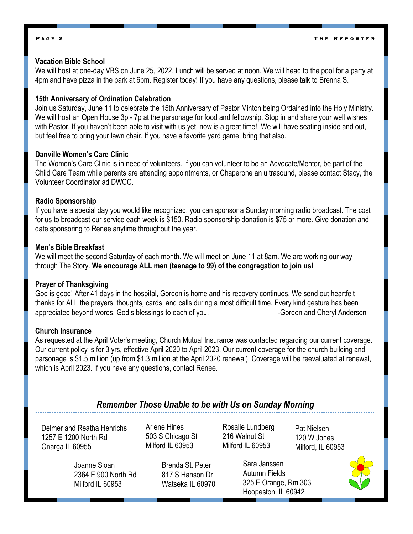#### **P a g e 2**

### **Vacation Bible School**

We will host at one-day VBS on June 25, 2022. Lunch will be served at noon. We will head to the pool for a party at 4pm and have pizza in the park at 6pm. Register today! If you have any questions, please talk to Brenna S.

### **15th Anniversary of Ordination Celebration**

Join us Saturday, June 11 to celebrate the 15th Anniversary of Pastor Minton being Ordained into the Holy Ministry. We will host an Open House 3p - 7p at the parsonage for food and fellowship. Stop in and share your well wishes with Pastor. If you haven't been able to visit with us yet, now is a great time! We will have seating inside and out, but feel free to bring your lawn chair. If you have a favorite yard game, bring that also.

#### **Danville Women's Care Clinic**

The Women's Care Clinic is in need of volunteers. If you can volunteer to be an Advocate/Mentor, be part of the Child Care Team while parents are attending appointments, or Chaperone an ultrasound, please contact Stacy, the Volunteer Coordinator ad DWCC.

#### **Radio Sponsorship**

If you have a special day you would like recognized, you can sponsor a Sunday morning radio broadcast. The cost for us to broadcast our service each week is \$150. Radio sponsorship donation is \$75 or more. Give donation and date sponsoring to Renee anytime throughout the year.

#### **Men's Bible Breakfast**

We will meet the second Saturday of each month. We will meet on June 11 at 8am. We are working our way through The Story. **We encourage ALL men (teenage to 99) of the congregation to join us!** 

#### **Prayer of Thanksgiving**

God is good! After 41 days in the hospital, Gordon is home and his recovery continues. We send out heartfelt thanks for ALL the prayers, thoughts, cards, and calls during a most difficult time. Every kind gesture has been appreciated beyond words. God's blessings to each of you. The summan summan Gordon and Cheryl Anderson

## **Church Insurance**

As requested at the April Voter's meeting, Church Mutual Insurance was contacted regarding our current coverage. Our current policy is for 3 yrs, effective April 2020 to April 2023. Our current coverage for the church building and parsonage is \$1.5 million (up from \$1.3 million at the April 2020 renewal). Coverage will be reevaluated at renewal, which is April 2023. If you have any questions, contact Renee.

## *Remember Those Unable to be with Us on Sunday Morning*

Delmer and Reatha Henrichs 1257 E 1200 North Rd Onarga IL 60955

Joanne Sloan 2364 E 900 North Rd Milford IL 60953

Brenda St. Peter 817 S Hanson Dr Watseka IL 60970

Arlene Hines 503 S Chicago St Milford IL 60953

Rosalie Lundberg 216 Walnut St Milford IL 60953

Pat Nielsen 120 W Jones Milford, IL 60953

Sara Janssen Autumn Fields 325 E Orange, Rm 303 Hoopeston, IL 60942

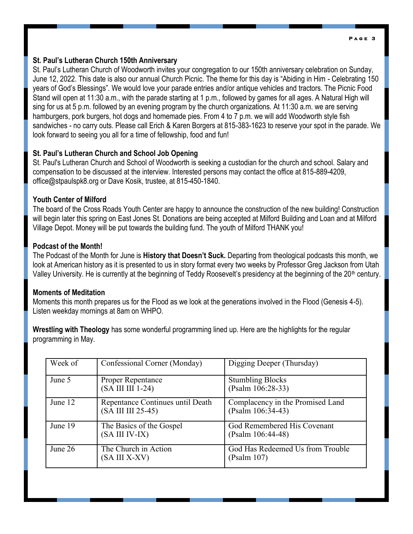#### **P a g e 3**

### **St. Paul's Lutheran Church 150th Anniversary**

St. Paul's Lutheran Church of Woodworth invites your congregation to our 150th anniversary celebration on Sunday, June 12, 2022. This date is also our annual Church Picnic. The theme for this day is "Abiding in Him - Celebrating 150 years of God's Blessings". We would love your parade entries and/or antique vehicles and tractors. The Picnic Food Stand will open at 11:30 a.m., with the parade starting at 1 p.m., followed by games for all ages. A Natural High will sing for us at 5 p.m. followed by an evening program by the church organizations. At 11:30 a.m. we are serving hamburgers, pork burgers, hot dogs and homemade pies. From 4 to 7 p.m. we will add Woodworth style fish sandwiches - no carry outs. Please call Erich & Karen Borgers at 815-383-1623 to reserve your spot in the parade. We look forward to seeing you all for a time of fellowship, food and fun!

## **St. Paul's Lutheran Church and School Job Opening**

St. Paul's Lutheran Church and School of Woodworth is seeking a custodian for the church and school. Salary and compensation to be discussed at the interview. Interested persons may contact the office at 815-889-4209, office@stpaulspk8.org or Dave Kosik, trustee, at 815-450-1840.

## **Youth Center of Milford**

The board of the Cross Roads Youth Center are happy to announce the construction of the new building! Construction will begin later this spring on East Jones St. Donations are being accepted at Milford Building and Loan and at Milford Village Depot. Money will be put towards the building fund. The youth of Milford THANK you!

## **Podcast of the Month!**

The Podcast of the Month for June is **History that Doesn't Suck.** Departing from theological podcasts this month, we look at American history as it is presented to us in story format every two weeks by Professor Greg Jackson from Utah Valley University. He is currently at the beginning of Teddy Roosevelt's presidency at the beginning of the 20<sup>th</sup> century.

## **Moments of Meditation**

Moments this month prepares us for the Flood as we look at the generations involved in the Flood (Genesis 4-5). Listen weekday mornings at 8am on WHPO.

**Wrestling with Theology** has some wonderful programming lined up. Here are the highlights for the regular programming in May.

| Week of | Confessional Corner (Monday)                           | Digging Deeper (Thursday)                             |
|---------|--------------------------------------------------------|-------------------------------------------------------|
| June 5  | Proper Repentance<br>(SA III III 1-24)                 | <b>Stumbling Blocks</b><br>(Psalm 106:28-33)          |
| June 12 | Repentance Continues until Death<br>(SA III III 25-45) | Complacency in the Promised Land<br>(Psalm 106:34-43) |
| June 19 | The Basics of the Gospel<br>(SA III IV-IX)             | God Remembered His Covenant<br>$(Psalm 106:44-48)$    |
| June 26 | The Church in Action<br>(SA III X-XV)                  | God Has Redeemed Us from Trouble<br>(Psalm 107)       |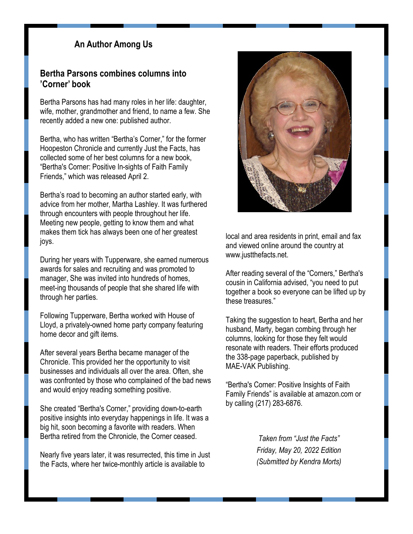## **An Author Among Us**

## **Bertha Parsons combines columns into 'Corner' book**

Bertha Parsons has had many roles in her life: daughter, wife, mother, grandmother and friend, to name a few. She recently added a new one: published author.

Bertha, who has written "Bertha's Corner," for the former Hoopeston Chronicle and currently Just the Facts, has collected some of her best columns for a new book, "Bertha's Corner: Positive In-sights of Faith Family Friends," which was released April 2.

Bertha's road to becoming an author started early, with advice from her mother, Martha Lashley. It was furthered through encounters with people throughout her life. Meeting new people, getting to know them and what makes them tick has always been one of her greatest joys.

During her years with Tupperware, she earned numerous awards for sales and recruiting and was promoted to manager, She was invited into hundreds of homes, meet-ing thousands of people that she shared life with through her parties.

Following Tupperware, Bertha worked with House of Lloyd, a privately-owned home party company featuring home decor and gift items.

After several years Bertha became manager of the Chronicle. This provided her the opportunity to visit businesses and individuals all over the area. Often, she was confronted by those who complained of the bad news and would enjoy reading something positive.

She created "Bertha's Corner," providing down-to-earth positive insights into everyday happenings in life. It was a big hit, soon becoming a favorite with readers. When Bertha retired from the Chronicle, the Corner ceased.

Nearly five years later, it was resurrected, this time in Just the Facts, where her twice-monthly article is available to



local and area residents in print, email and fax and viewed online around the country at www.justthefacts.net.

After reading several of the "Corners," Bertha's cousin in California advised, "you need to put together a book so everyone can be lifted up by these treasures."

Taking the suggestion to heart, Bertha and her husband, Marty, began combing through her columns, looking for those they felt would resonate with readers. Their efforts produced the 338-page paperback, published by MAE-VAK Publishing.

"Bertha's Corner: Positive Insights of Faith Family Friends" is available at amazon.com or by calling (217) 283-6876.

> *Taken from "Just the Facts" Friday, May 20, 2022 Edition (Submitted by Kendra Morts)*